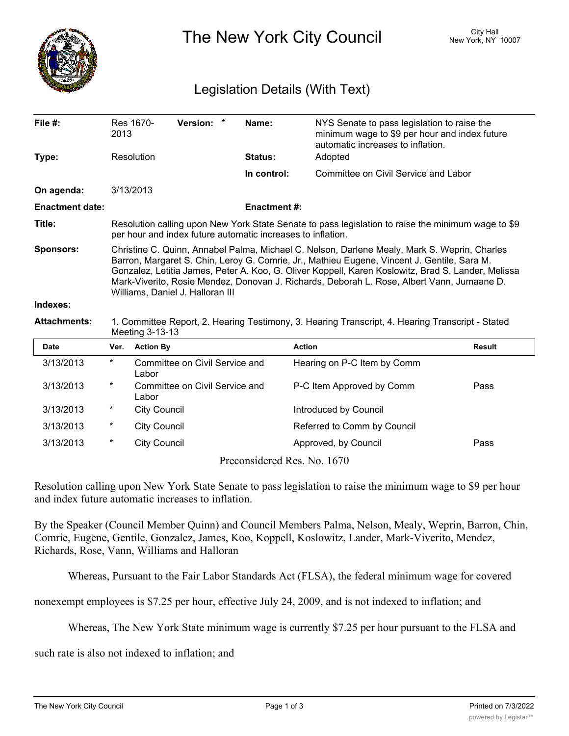

The New York City Council New York, NY 10007

## Legislation Details (With Text)

| File #:                | 2013                                                                                                                                                                                                                                                                                                                                                                                                                                | Res 1670-           | Version: *                     |  | Name:                       | NYS Senate to pass legislation to raise the<br>minimum wage to \$9 per hour and index future<br>automatic increases to inflation. |                                      |
|------------------------|-------------------------------------------------------------------------------------------------------------------------------------------------------------------------------------------------------------------------------------------------------------------------------------------------------------------------------------------------------------------------------------------------------------------------------------|---------------------|--------------------------------|--|-----------------------------|-----------------------------------------------------------------------------------------------------------------------------------|--------------------------------------|
| Type:                  | Resolution                                                                                                                                                                                                                                                                                                                                                                                                                          |                     |                                |  | <b>Status:</b><br>Adopted   |                                                                                                                                   |                                      |
|                        |                                                                                                                                                                                                                                                                                                                                                                                                                                     |                     |                                |  | In control:                 |                                                                                                                                   | Committee on Civil Service and Labor |
| On agenda:             |                                                                                                                                                                                                                                                                                                                                                                                                                                     | 3/13/2013           |                                |  |                             |                                                                                                                                   |                                      |
| <b>Enactment date:</b> |                                                                                                                                                                                                                                                                                                                                                                                                                                     |                     |                                |  | <b>Enactment#:</b>          |                                                                                                                                   |                                      |
| Title:                 | Resolution calling upon New York State Senate to pass legislation to raise the minimum wage to \$9<br>per hour and index future automatic increases to inflation.                                                                                                                                                                                                                                                                   |                     |                                |  |                             |                                                                                                                                   |                                      |
| <b>Sponsors:</b>       | Christine C. Quinn, Annabel Palma, Michael C. Nelson, Darlene Mealy, Mark S. Weprin, Charles<br>Barron, Margaret S. Chin, Leroy G. Comrie, Jr., Mathieu Eugene, Vincent J. Gentile, Sara M.<br>Gonzalez, Letitia James, Peter A. Koo, G. Oliver Koppell, Karen Koslowitz, Brad S. Lander, Melissa<br>Mark-Viverito, Rosie Mendez, Donovan J. Richards, Deborah L. Rose, Albert Vann, Jumaane D.<br>Williams, Daniel J. Halloran III |                     |                                |  |                             |                                                                                                                                   |                                      |
| Indexes:               |                                                                                                                                                                                                                                                                                                                                                                                                                                     |                     |                                |  |                             |                                                                                                                                   |                                      |
| <b>Attachments:</b>    | 1. Committee Report, 2. Hearing Testimony, 3. Hearing Transcript, 4. Hearing Transcript - Stated<br>Meeting 3-13-13                                                                                                                                                                                                                                                                                                                 |                     |                                |  |                             |                                                                                                                                   |                                      |
| <b>Date</b>            | Ver.                                                                                                                                                                                                                                                                                                                                                                                                                                | <b>Action By</b>    |                                |  |                             | <b>Action</b>                                                                                                                     | <b>Result</b>                        |
| 3/13/2013              | $^{\star}$                                                                                                                                                                                                                                                                                                                                                                                                                          | Labor               | Committee on Civil Service and |  |                             | Hearing on P-C Item by Comm                                                                                                       |                                      |
| 3/13/2013              | *                                                                                                                                                                                                                                                                                                                                                                                                                                   | Labor               | Committee on Civil Service and |  |                             | P-C Item Approved by Comm                                                                                                         | Pass                                 |
| 3/13/2013              | *                                                                                                                                                                                                                                                                                                                                                                                                                                   | <b>City Council</b> |                                |  |                             | Introduced by Council                                                                                                             |                                      |
| 3/13/2013              | $^\star$                                                                                                                                                                                                                                                                                                                                                                                                                            | <b>City Council</b> |                                |  |                             | Referred to Comm by Council                                                                                                       |                                      |
| 3/13/2013              | *                                                                                                                                                                                                                                                                                                                                                                                                                                   | <b>City Council</b> |                                |  |                             | Approved, by Council                                                                                                              | Pass                                 |
|                        |                                                                                                                                                                                                                                                                                                                                                                                                                                     |                     |                                |  | Preconsidered Res. No. 1670 |                                                                                                                                   |                                      |

Resolution calling upon New York State Senate to pass legislation to raise the minimum wage to \$9 per hour and index future automatic increases to inflation.

By the Speaker (Council Member Quinn) and Council Members Palma, Nelson, Mealy, Weprin, Barron, Chin, Comrie, Eugene, Gentile, Gonzalez, James, Koo, Koppell, Koslowitz, Lander, Mark-Viverito, Mendez, Richards, Rose, Vann, Williams and Halloran

Whereas, Pursuant to the Fair Labor Standards Act (FLSA), the federal minimum wage for covered

nonexempt employees is \$7.25 per hour, effective July 24, 2009, and is not indexed to inflation; and

Whereas, The New York State minimum wage is currently \$7.25 per hour pursuant to the FLSA and

such rate is also not indexed to inflation; and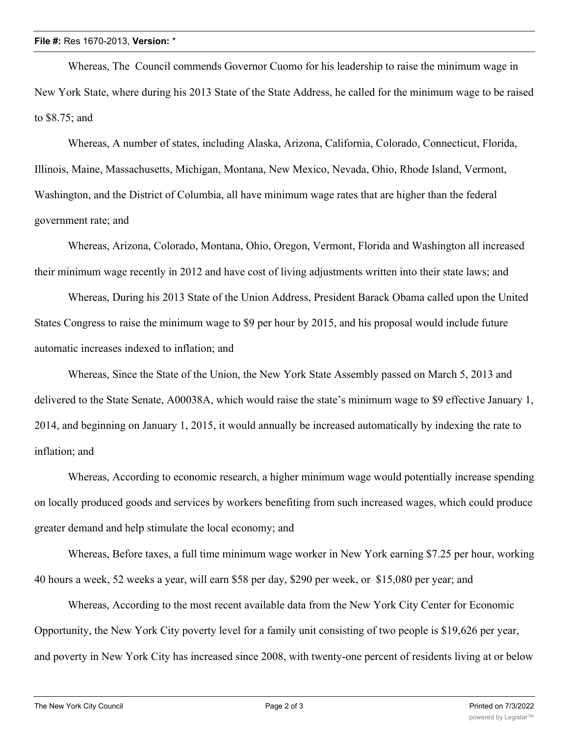Whereas, The Council commends Governor Cuomo for his leadership to raise the minimum wage in New York State, where during his 2013 State of the State Address, he called for the minimum wage to be raised to \$8.75; and

Whereas, A number of states, including Alaska, Arizona, California, Colorado, Connecticut, Florida, Illinois, Maine, Massachusetts, Michigan, Montana, New Mexico, Nevada, Ohio, Rhode Island, Vermont, Washington, and the District of Columbia, all have minimum wage rates that are higher than the federal government rate; and

Whereas, Arizona, Colorado, Montana, Ohio, Oregon, Vermont, Florida and Washington all increased their minimum wage recently in 2012 and have cost of living adjustments written into their state laws; and

Whereas, During his 2013 State of the Union Address, President Barack Obama called upon the United States Congress to raise the minimum wage to \$9 per hour by 2015, and his proposal would include future automatic increases indexed to inflation; and

Whereas, Since the State of the Union, the New York State Assembly passed on March 5, 2013 and delivered to the State Senate, A00038A, which would raise the state's minimum wage to \$9 effective January 1, 2014, and beginning on January 1, 2015, it would annually be increased automatically by indexing the rate to inflation; and

Whereas, According to economic research, a higher minimum wage would potentially increase spending on locally produced goods and services by workers benefiting from such increased wages, which could produce greater demand and help stimulate the local economy; and

Whereas, Before taxes, a full time minimum wage worker in New York earning \$7.25 per hour, working 40 hours a week, 52 weeks a year, will earn \$58 per day, \$290 per week, or \$15,080 per year; and

Whereas, According to the most recent available data from the New York City Center for Economic Opportunity, the New York City poverty level for a family unit consisting of two people is \$19,626 per year, and poverty in New York City has increased since 2008, with twenty-one percent of residents living at or below